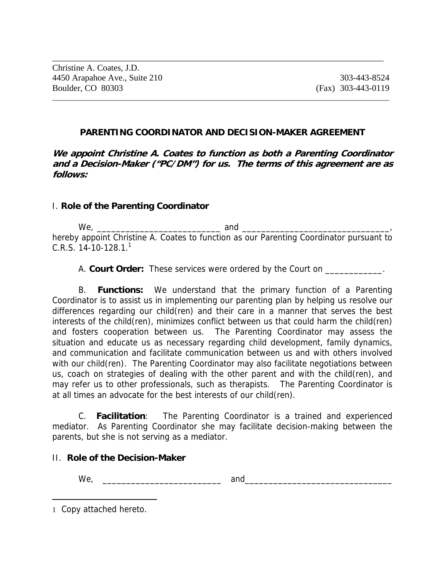#### **PARENTING COORDINATOR AND DECISION-MAKER AGREEMENT**

 $\overline{a}$  , and the contribution of the contribution of the contribution of the contribution of the contribution of  $\overline{a}$ 

\_\_\_\_\_\_\_\_\_\_\_\_\_\_\_\_\_\_\_\_\_\_\_\_\_\_\_\_\_\_\_\_\_\_\_\_\_\_\_\_\_\_\_\_\_\_\_\_\_\_\_\_\_\_\_\_\_\_\_\_\_\_\_\_\_\_\_\_\_\_\_\_\_\_\_\_

**We appoint Christine A. Coates to function as both a Parenting Coordinator and a Decision-Maker ("PC/DM") for us. The terms of this agreement are as follows:** 

#### I. **Role of the Parenting Coordinator**

 $We,$  and  $\Box$ hereby appoint Christine A. Coates to function as our Parenting Coordinator pursuant to  $C.R.S. 14-10-128.1<sup>1</sup>$ 

A. **Court Order:** These services were ordered by the Court on \_\_\_\_\_\_\_\_\_\_\_\_.

 B. **Functions:** We understand that the primary function of a Parenting Coordinator is to assist us in implementing our parenting plan by helping us resolve our differences regarding our child(ren) and their care in a manner that serves the best interests of the child(ren), minimizes conflict between us that could harm the child(ren) and fosters cooperation between us. The Parenting Coordinator may assess the situation and educate us as necessary regarding child development, family dynamics, and communication and facilitate communication between us and with others involved with our child(ren). The Parenting Coordinator may also facilitate negotiations between us, coach on strategies of dealing with the other parent and with the child(ren), and may refer us to other professionals, such as therapists. The Parenting Coordinator is at all times an advocate for the best interests of our child(ren).

 C. **Facilitation**: The Parenting Coordinator is a trained and experienced mediator. As Parenting Coordinator she may facilitate decision-making between the parents, but she is not serving as a mediator.

#### II. **Role of the Decision-Maker**

 $\overline{a}$ 

We, \_\_\_\_\_\_\_\_\_\_\_\_\_\_\_\_\_\_\_\_\_\_\_\_\_ and\_\_\_\_\_\_\_\_\_\_\_\_\_\_\_\_\_\_\_\_\_\_\_\_\_\_\_\_\_\_\_

<sup>1</sup> Copy attached hereto.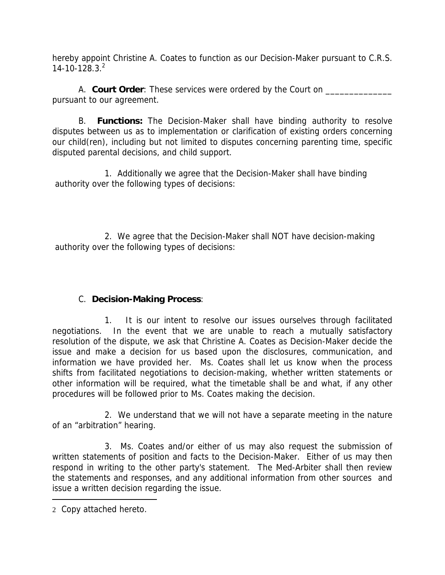hereby appoint Christine A. Coates to function as our Decision-Maker pursuant to C.R.S.  $14 - 10 - 128.3.<sup>2</sup>$ 

A. **Court Order**: These services were ordered by the Court on pursuant to our agreement.

 B. **Functions:** The Decision-Maker shall have binding authority to resolve disputes between us as to implementation or clarification of existing orders concerning our child(ren), including but not limited to disputes concerning parenting time, specific disputed parental decisions, and child support.

 1. Additionally we agree that the Decision-Maker shall have binding authority over the following types of decisions:

 2. We agree that the Decision-Maker shall NOT have decision-making authority over the following types of decisions:

# C. **Decision-Making Process**:

 1. It is our intent to resolve our issues ourselves through facilitated negotiations. In the event that we are unable to reach a mutually satisfactory resolution of the dispute, we ask that Christine A. Coates as Decision-Maker decide the issue and make a decision for us based upon the disclosures, communication, and information we have provided her. Ms. Coates shall let us know when the process shifts from facilitated negotiations to decision-making, whether written statements or other information will be required, what the timetable shall be and what, if any other procedures will be followed prior to Ms. Coates making the decision.

 2. We understand that we will not have a separate meeting in the nature of an "arbitration" hearing.

 3. Ms. Coates and/or either of us may also request the submission of written statements of position and facts to the Decision-Maker. Either of us may then respond in writing to the other party's statement. The Med-Arbiter shall then review the statements and responses, and any additional information from other sources and issue a written decision regarding the issue.

 $\overline{a}$ 

<sup>2</sup> Copy attached hereto.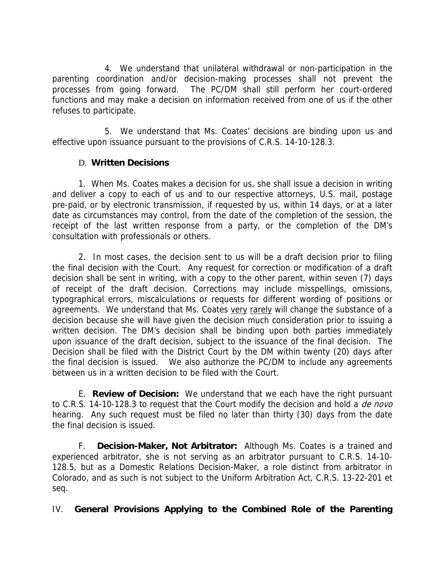4. We understand that unilateral withdrawal or non-participation in the parenting coordination and/or decision-making processes shall not prevent the processes from going forward. The PC/DM shall still perform her court-ordered functions and may make a decision on information received from one of us if the other refuses to participate.

 5. We understand that Ms. Coates' decisions are binding upon us and effective upon issuance pursuant to the provisions of C.R.S. 14-10-128.3.

## D. **Written Decisions**

 1. When Ms. Coates makes a decision for us, she shall issue a decision in writing and deliver a copy to each of us and to our respective attorneys, U.S. mail, postage pre-paid, or by electronic transmission, if requested by us, within 14 days, or at a later date as circumstances may control, from the date of the completion of the session, the receipt of the last written response from a party, or the completion of the DM's consultation with professionals or others.

 2. In most cases, the decision sent to us will be a draft decision prior to filing the final decision with the Court. Any request for correction or modification of a draft decision shall be sent in writing, with a copy to the other parent, within seven (7) days of receipt of the draft decision. Corrections may include misspellings, omissions, typographical errors, miscalculations or requests for different wording of positions or agreements. We understand that Ms. Coates very rarely will change the substance of a decision because she will have given the decision much consideration prior to issuing a written decision. The DM's decision shall be binding upon both parties immediately upon issuance of the draft decision, subject to the issuance of the final decision. The Decision shall be filed with the District Court by the DM within twenty (20) days after the final decision is issued. We also authorize the PC/DM to include any agreements between us in a written decision to be filed with the Court.

 E. **Review of Decision:** We understand that we each have the right pursuant to C.R.S. 14-10-128.3 to request that the Court modify the decision and hold a *de novo* hearing. Any such request must be filed no later than thirty (30) days from the date the final decision is issued.

 F. **Decision-Maker, Not Arbitrator:** Although Ms. Coates is a trained and experienced arbitrator, she is not serving as an arbitrator pursuant to C.R.S. 14-10- 128.5, but as a Domestic Relations Decision-Maker, a role distinct from arbitrator in Colorado, and as such is not subject to the Uniform Arbitration Act, C.R.S. 13-22-201 et seq.

IV. **General Provisions Applying to the Combined Role of the Parenting**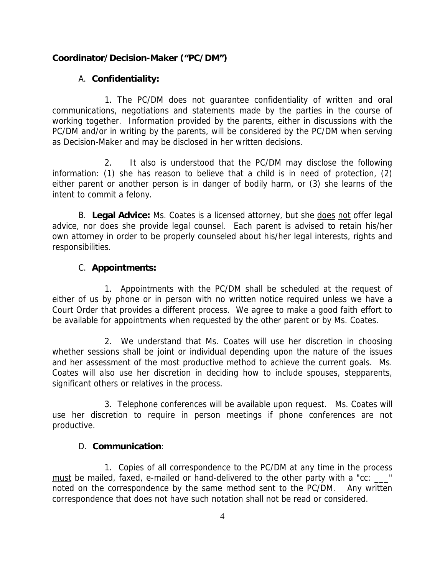## **Coordinator/Decision-Maker ("PC/DM")**

## A. **Confidentiality:**

 1. The PC/DM does not guarantee confidentiality of written and oral communications, negotiations and statements made by the parties in the course of working together. Information provided by the parents, either in discussions with the PC/DM and/or in writing by the parents, will be considered by the PC/DM when serving as Decision-Maker and may be disclosed in her written decisions.

 2. It also is understood that the PC/DM may disclose the following information: (1) she has reason to believe that a child is in need of protection, (2) either parent or another person is in danger of bodily harm, or (3) she learns of the intent to commit a felony.

B. **Legal Advice:** Ms. Coates is a licensed attorney, but she does not offer legal advice, nor does she provide legal counsel. Each parent is advised to retain his/her own attorney in order to be properly counseled about his/her legal interests, rights and responsibilities.

## C. **Appointments:**

 1. Appointments with the PC/DM shall be scheduled at the request of either of us by phone or in person with no written notice required unless we have a Court Order that provides a different process. We agree to make a good faith effort to be available for appointments when requested by the other parent or by Ms. Coates.

 2. We understand that Ms. Coates will use her discretion in choosing whether sessions shall be joint or individual depending upon the nature of the issues and her assessment of the most productive method to achieve the current goals. Ms. Coates will also use her discretion in deciding how to include spouses, stepparents, significant others or relatives in the process.

 3. Telephone conferences will be available upon request. Ms. Coates will use her discretion to require in person meetings if phone conferences are not productive.

## D. **Communication**:

 1. Copies of all correspondence to the PC/DM at any time in the process must be mailed, faxed, e-mailed or hand-delivered to the other party with a "cc: \_\_\_" noted on the correspondence by the same method sent to the PC/DM. Any written correspondence that does not have such notation shall not be read or considered.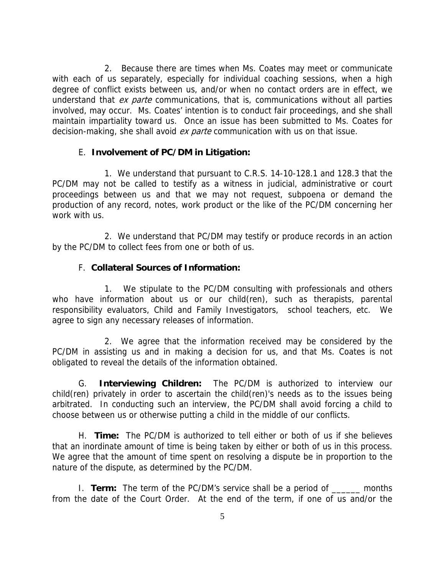2. Because there are times when Ms. Coates may meet or communicate with each of us separately, especially for individual coaching sessions, when a high degree of conflict exists between us, and/or when no contact orders are in effect, we understand that ex parte communications, that is, communications without all parties involved, may occur. Ms. Coates' intention is to conduct fair proceedings, and she shall maintain impartiality toward us. Once an issue has been submitted to Ms. Coates for decision-making, she shall avoid ex parte communication with us on that issue.

### E. **Involvement of PC/DM in Litigation:**

 1. We understand that pursuant to C.R.S. 14-10-128.1 and 128.3 that the PC/DM may not be called to testify as a witness in judicial, administrative or court proceedings between us and that we may not request, subpoena or demand the production of any record, notes, work product or the like of the PC/DM concerning her work with us.

 2. We understand that PC/DM may testify or produce records in an action by the PC/DM to collect fees from one or both of us.

### F. **Collateral Sources of Information:**

 1. We stipulate to the PC/DM consulting with professionals and others who have information about us or our child(ren), such as therapists, parental responsibility evaluators, Child and Family Investigators, school teachers, etc. We agree to sign any necessary releases of information.

 2. We agree that the information received may be considered by the PC/DM in assisting us and in making a decision for us, and that Ms. Coates is not obligated to reveal the details of the information obtained.

G. **Interviewing Children:** The PC/DM is authorized to interview our child(ren) privately in order to ascertain the child(ren)'s needs as to the issues being arbitrated. In conducting such an interview, the PC/DM shall avoid forcing a child to choose between us or otherwise putting a child in the middle of our conflicts.

H. **Time:** The PC/DM is authorized to tell either or both of us if she believes that an inordinate amount of time is being taken by either or both of us in this process. We agree that the amount of time spent on resolving a dispute be in proportion to the nature of the dispute, as determined by the PC/DM.

 I. **Term:** The term of the PC/DM's service shall be a period of \_\_\_\_\_\_ months from the date of the Court Order. At the end of the term, if one of us and/or the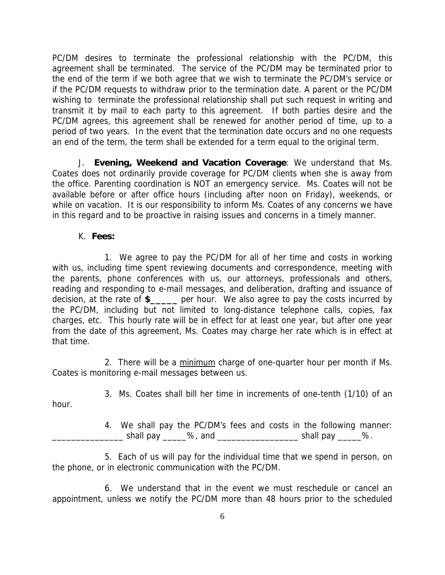PC/DM desires to terminate the professional relationship with the PC/DM, this agreement shall be terminated. The service of the PC/DM may be terminated prior to the end of the term if we both agree that we wish to terminate the PC/DM's service or if the PC/DM requests to withdraw prior to the termination date. A parent or the PC/DM wishing to terminate the professional relationship shall put such request in writing and transmit it by mail to each party to this agreement. If both parties desire and the PC/DM agrees, this agreement shall be renewed for another period of time, up to a period of two years. In the event that the termination date occurs and no one requests an end of the term, the term shall be extended for a term equal to the original term.

 J. **Evening, Weekend and Vacation Coverage**: We understand that Ms. Coates does not ordinarily provide coverage for PC/DM clients when she is away from the office. Parenting coordination is NOT an emergency service. Ms. Coates will not be available before or after office hours (including after noon on Friday), weekends, or while on vacation. It is our responsibility to inform Ms. Coates of any concerns we have in this regard and to be proactive in raising issues and concerns in a timely manner.

K. **Fees:** 

 1. We agree to pay the PC/DM for all of her time and costs in working with us, including time spent reviewing documents and correspondence, meeting with the parents, phone conferences with us, our attorneys, professionals and others, reading and responding to e-mail messages, and deliberation, drafting and issuance of decision, at the rate of **\$\_\_\_\_\_** per hour. We also agree to pay the costs incurred by the PC/DM, including but not limited to long-distance telephone calls, copies, fax charges, etc. This hourly rate will be in effect for at least one year, but after one year from the date of this agreement, Ms. Coates may charge her rate which is in effect at that time.

2. There will be a minimum charge of one-quarter hour per month if Ms. Coates is monitoring e-mail messages between us.

3. Ms. Coates shall bill her time in increments of one-tenth (1/10) of an

hour.

 4. We shall pay the PC/DM's fees and costs in the following manner:  $\bullet$  shall pay  $\bullet$  %, and  $\bullet$  shall pay  $\bullet$  %.

 5. Each of us will pay for the individual time that we spend in person, on the phone, or in electronic communication with the PC/DM.

 6. We understand that in the event we must reschedule or cancel an appointment, unless we notify the PC/DM more than 48 hours prior to the scheduled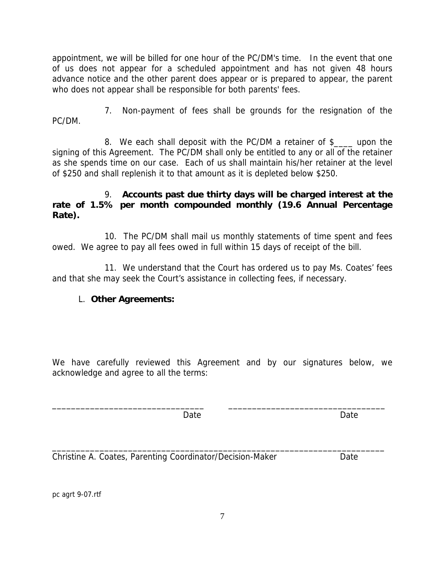appointment, we will be billed for one hour of the PC/DM's time. In the event that one of us does not appear for a scheduled appointment and has not given 48 hours advance notice and the other parent does appear or is prepared to appear, the parent who does not appear shall be responsible for both parents' fees.

 7. Non-payment of fees shall be grounds for the resignation of the PC/DM.

 8. We each shall deposit with the PC/DM a retainer of \$\_\_\_\_ upon the signing of this Agreement. The PC/DM shall only be entitled to any or all of the retainer as she spends time on our case. Each of us shall maintain his/her retainer at the level of \$250 and shall replenish it to that amount as it is depleted below \$250.

### 9. **Accounts past due thirty days will be charged interest at the rate of 1.5% per month compounded monthly (19.6 Annual Percentage Rate).**

 10. The PC/DM shall mail us monthly statements of time spent and fees owed. We agree to pay all fees owed in full within 15 days of receipt of the bill.

 11. We understand that the Court has ordered us to pay Ms. Coates' fees and that she may seek the Court's assistance in collecting fees, if necessary.

# L. **Other Agreements:**

We have carefully reviewed this Agreement and by our signatures below, we acknowledge and agree to all the terms:

\_\_\_\_\_\_\_\_\_\_\_\_\_\_\_\_\_\_\_\_\_\_\_\_\_\_\_\_\_\_\_\_ \_\_\_\_\_\_\_\_\_\_\_\_\_\_\_\_\_\_\_\_\_\_\_\_\_\_\_\_\_\_\_\_\_

\_\_\_\_\_\_\_\_\_\_\_\_\_\_\_\_\_\_\_\_\_\_\_\_\_\_\_\_\_\_\_\_\_\_\_\_\_\_\_\_\_\_\_\_\_\_\_\_\_\_\_\_\_\_\_\_\_\_\_\_\_\_\_\_\_\_\_\_\_\_

example and Date and Date and Date and Date and Date and Date and Date and Date and Date and Date and Date and D

Christine A. Coates, Parenting Coordinator/Decision-Maker Date

pc agrt 9-07.rtf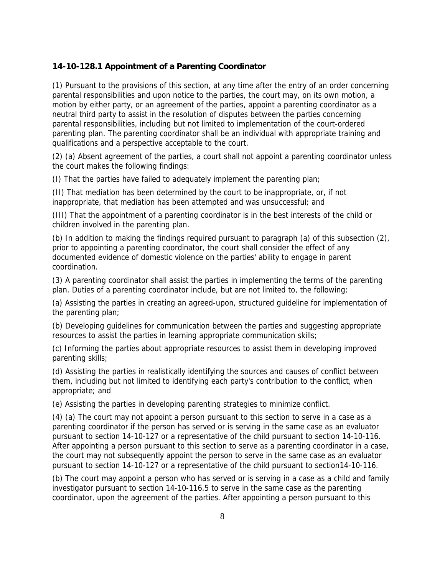#### **14-10-128.1 Appointment of a Parenting Coordinator**

(1) Pursuant to the provisions of this section, at any time after the entry of an order concerning parental responsibilities and upon notice to the parties, the court may, on its own motion, a motion by either party, or an agreement of the parties, appoint a parenting coordinator as a neutral third party to assist in the resolution of disputes between the parties concerning parental responsibilities, including but not limited to implementation of the court-ordered parenting plan. The parenting coordinator shall be an individual with appropriate training and qualifications and a perspective acceptable to the court.

(2) (a) Absent agreement of the parties, a court shall not appoint a parenting coordinator unless the court makes the following findings:

(I) That the parties have failed to adequately implement the parenting plan;

(II) That mediation has been determined by the court to be inappropriate, or, if not inappropriate, that mediation has been attempted and was unsuccessful; and

(III) That the appointment of a parenting coordinator is in the best interests of the child or children involved in the parenting plan.

(b) In addition to making the findings required pursuant to paragraph (a) of this subsection (2), prior to appointing a parenting coordinator, the court shall consider the effect of any documented evidence of domestic violence on the parties' ability to engage in parent coordination.

(3) A parenting coordinator shall assist the parties in implementing the terms of the parenting plan. Duties of a parenting coordinator include, but are not limited to, the following:

(a) Assisting the parties in creating an agreed-upon, structured guideline for implementation of the parenting plan;

(b) Developing guidelines for communication between the parties and suggesting appropriate resources to assist the parties in learning appropriate communication skills;

(c) Informing the parties about appropriate resources to assist them in developing improved parenting skills;

(d) Assisting the parties in realistically identifying the sources and causes of conflict between them, including but not limited to identifying each party's contribution to the conflict, when appropriate; and

(e) Assisting the parties in developing parenting strategies to minimize conflict.

(4) (a) The court may not appoint a person pursuant to this section to serve in a case as a parenting coordinator if the person has served or is serving in the same case as an evaluator pursuant to section 14-10-127 or a representative of the child pursuant to section 14-10-116. After appointing a person pursuant to this section to serve as a parenting coordinator in a case, the court may not subsequently appoint the person to serve in the same case as an evaluator pursuant to section 14-10-127 or a representative of the child pursuant to section14-10-116.

(b) The court may appoint a person who has served or is serving in a case as a child and family investigator pursuant to section 14-10-116.5 to serve in the same case as the parenting coordinator, upon the agreement of the parties. After appointing a person pursuant to this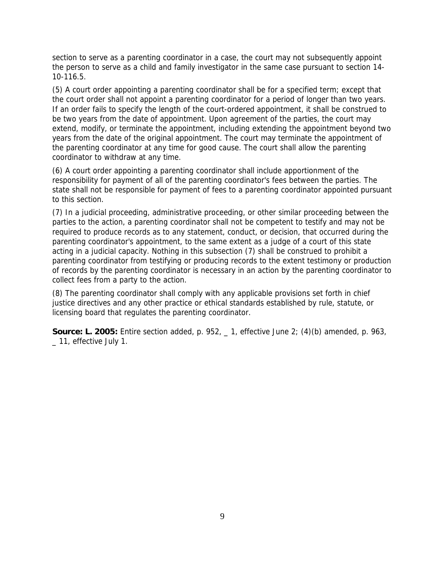section to serve as a parenting coordinator in a case, the court may not subsequently appoint the person to serve as a child and family investigator in the same case pursuant to section 14- 10-116.5.

(5) A court order appointing a parenting coordinator shall be for a specified term; except that the court order shall not appoint a parenting coordinator for a period of longer than two years. If an order fails to specify the length of the court-ordered appointment, it shall be construed to be two years from the date of appointment. Upon agreement of the parties, the court may extend, modify, or terminate the appointment, including extending the appointment beyond two years from the date of the original appointment. The court may terminate the appointment of the parenting coordinator at any time for good cause. The court shall allow the parenting coordinator to withdraw at any time.

(6) A court order appointing a parenting coordinator shall include apportionment of the responsibility for payment of all of the parenting coordinator's fees between the parties. The state shall not be responsible for payment of fees to a parenting coordinator appointed pursuant to this section.

(7) In a judicial proceeding, administrative proceeding, or other similar proceeding between the parties to the action, a parenting coordinator shall not be competent to testify and may not be required to produce records as to any statement, conduct, or decision, that occurred during the parenting coordinator's appointment, to the same extent as a judge of a court of this state acting in a judicial capacity. Nothing in this subsection (7) shall be construed to prohibit a parenting coordinator from testifying or producing records to the extent testimony or production of records by the parenting coordinator is necessary in an action by the parenting coordinator to collect fees from a party to the action.

(8) The parenting coordinator shall comply with any applicable provisions set forth in chief justice directives and any other practice or ethical standards established by rule, statute, or licensing board that regulates the parenting coordinator.

**Source: L. 2005:** Entire section added, p. 952, \_ 1, effective June 2; (4)(b) amended, p. 963, \_ 11, effective July 1.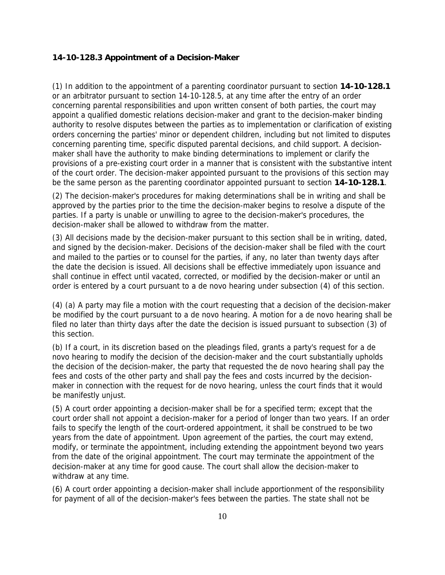#### **14-10-128.3 Appointment of a Decision-Maker**

(1) In addition to the appointment of a parenting coordinator pursuant to section **14-10-128.1** or an arbitrator pursuant to section 14-10-128.5, at any time after the entry of an order concerning parental responsibilities and upon written consent of both parties, the court may appoint a qualified domestic relations decision-maker and grant to the decision-maker binding authority to resolve disputes between the parties as to implementation or clarification of existing orders concerning the parties' minor or dependent children, including but not limited to disputes concerning parenting time, specific disputed parental decisions, and child support. A decisionmaker shall have the authority to make binding determinations to implement or clarify the provisions of a pre-existing court order in a manner that is consistent with the substantive intent of the court order. The decision-maker appointed pursuant to the provisions of this section may be the same person as the parenting coordinator appointed pursuant to section **14-10-128.1**.

(2) The decision-maker's procedures for making determinations shall be in writing and shall be approved by the parties prior to the time the decision-maker begins to resolve a dispute of the parties. If a party is unable or unwilling to agree to the decision-maker's procedures, the decision-maker shall be allowed to withdraw from the matter.

(3) All decisions made by the decision-maker pursuant to this section shall be in writing, dated, and signed by the decision-maker. Decisions of the decision-maker shall be filed with the court and mailed to the parties or to counsel for the parties, if any, no later than twenty days after the date the decision is issued. All decisions shall be effective immediately upon issuance and shall continue in effect until vacated, corrected, or modified by the decision-maker or until an order is entered by a court pursuant to a de novo hearing under subsection (4) of this section.

(4) (a) A party may file a motion with the court requesting that a decision of the decision-maker be modified by the court pursuant to a de novo hearing. A motion for a de novo hearing shall be filed no later than thirty days after the date the decision is issued pursuant to subsection (3) of this section.

(b) If a court, in its discretion based on the pleadings filed, grants a party's request for a de novo hearing to modify the decision of the decision-maker and the court substantially upholds the decision of the decision-maker, the party that requested the de novo hearing shall pay the fees and costs of the other party and shall pay the fees and costs incurred by the decisionmaker in connection with the request for de novo hearing, unless the court finds that it would be manifestly unjust.

(5) A court order appointing a decision-maker shall be for a specified term; except that the court order shall not appoint a decision-maker for a period of longer than two years. If an order fails to specify the length of the court-ordered appointment, it shall be construed to be two years from the date of appointment. Upon agreement of the parties, the court may extend, modify, or terminate the appointment, including extending the appointment beyond two years from the date of the original appointment. The court may terminate the appointment of the decision-maker at any time for good cause. The court shall allow the decision-maker to withdraw at any time.

(6) A court order appointing a decision-maker shall include apportionment of the responsibility for payment of all of the decision-maker's fees between the parties. The state shall not be